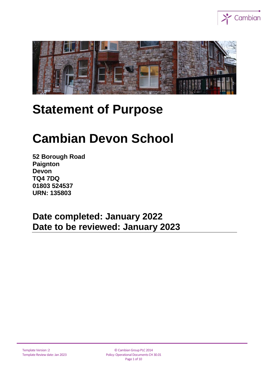



# **Statement of Purpose**

# **Cambian Devon School**

**52 Borough Road Paignton Devon TQ4 7DQ 01803 524537 URN: 135803**

**Date completed: January 2022 Date to be reviewed: January 2023**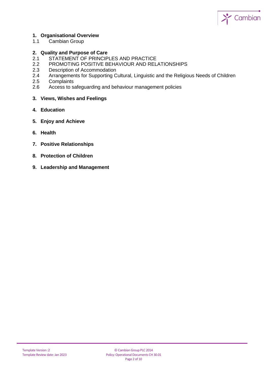

### **1. Organisational Overview**

1.1 Cambian Group

#### **2. Quality and Purpose of Care**

- 2.1 STATEMENT OF PRINCIPLES AND PRACTICE
- 2.2 PROMOTING POSITIVE BEHAVIOUR AND RELATIONSHIPS
- 2.3 Description of Accommodation
- 2.4 Arrangements for Supporting Cultural, Linguistic and the Religious Needs of Children
- 2.5 Complaints
- 2.6 Access to safeguarding and behaviour management policies
- **3. Views, Wishes and Feelings**
- **4. Education**
- **5. Enjoy and Achieve**
- **6. Health**
- **7. Positive Relationships**
- **8. Protection of Children**
- **9. Leadership and Management**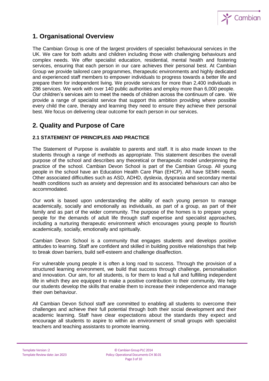

## **1. Organisational Overview**

The Cambian Group is one of the largest providers of specialist behavioural services in the UK. We care for both adults and children including those with challenging behaviours and complex needs. We offer specialist education, residential, mental health and fostering services, ensuring that each person in our care achieves their personal best. At Cambian Group we provide tailored care programmes, therapeutic environments and highly dedicated and experienced staff members to empower individuals to progress towards a better life and prepare them for independent living. We provide services for more than 2,400 individuals in 286 services. We work with over 140 public authorities and employ more than 6,000 people. Our children's services aim to meet the needs of children across the continuum of care. We provide a range of specialist service that support this ambition providing where possible every child the care, therapy and learning they need to ensure they achieve their personal best. We focus on delivering clear outcome for each person in our services.

## **2. Quality and Purpose of Care**

## **2.1 STATEMENT OF PRINCIPLES AND PRACTICE**

The Statement of Purpose is available to parents and staff. It is also made known to the students through a range of methods as appropriate. This statement describes the overall purpose of the school and describes any theoretical or therapeutic model underpinning the practice of the school. Cambian Devon School is part of the Cambian Group. All young people in the school have an Education Health Care Plan (EHCP). All have SEMH needs. Other associated difficulties such as ASD, ADHD, dyslexia, dyspraxia and secondary mental health conditions such as anxiety and depression and its associated behaviours can also be accommodated.

Our work is based upon understanding the ability of each young person to manage academically, socially and emotionally as individuals, as part of a group, as part of their family and as part of the wider community. The purpose of the homes is to prepare young people for the demands of adult life through staff expertise and specialist approaches, including a nurturing therapeutic environment which encourages young people to flourish academically, socially, emotionally and spiritually.

Cambian Devon School is a community that engages students and develops positive attitudes to learning. Staff are confident and skilled in building positive relationships that help to break down barriers, build self-esteem and challenge disaffection.

For vulnerable young people it is often a long road to success. Through the provision of a structured learning environment, we build that success through challenge, personalisation and innovation. Our aim, for all students, is for them to lead a full and fulfilling independent life in which they are equipped to make a positive contribution to their community. We help our students develop the skills that enable them to increase their independence and manage their own behaviour.

All Cambian Devon School staff are committed to enabling all students to overcome their challenges and achieve their full potential through both their social development and their academic learning. Staff have clear expectations about the standards they expect and encourage all students to aspire to within an environment of small groups with specialist teachers and teaching assistants to promote learning.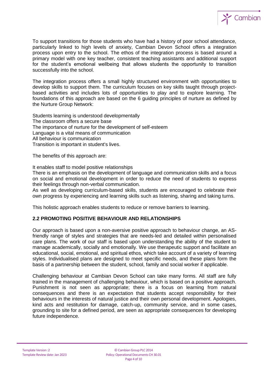

To support transitions for those students who have had a history of poor school attendance, particularly linked to high levels of anxiety, Cambian Devon School offers a integration process upon entry to the school. The ethos of the integration process is based around a primary model with one key teacher, consistent teaching assistants and additional support for the student's emotional wellbeing that allows students the opportunity to transition successfully into the school.

The integration process offers a small highly structured environment with opportunities to develop skills to support them. The curriculum focuses on key skills taught through projectbased activities and includes lots of opportunities to play and to explore learning. The foundations of this approach are based on the 6 guiding principles of nurture as defined by the Nurture Group Network:

Students learning is understood developmentally The classroom offers a secure base The importance of nurture for the development of self-esteem Language is a vital means of communication All behaviour is communication Transition is important in student's lives.

The benefits of this approach are:

It enables staff to model positive relationships

There is an emphasis on the development of language and communication skills and a focus on social and emotional development in order to reduce the need of students to express their feelings through non-verbal communication.

As well as developing curriculum-based skills, students are encouraged to celebrate their own progress by experiencing and learning skills such as listening, sharing and taking turns.

This holistic approach enables students to reduce or remove barriers to learning.

## **2.2 PROMOTING POSITIVE BEHAVIOUR AND RELATIONSHIPS**

Our approach is based upon a non-aversive positive approach to behaviour change, an ASfriendly range of styles and strategies that are needs-led and detailed within personalised care plans. The work of our staff is based upon understanding the ability of the student to manage academically, socially and emotionally. We use therapeutic support and facilitate an educational, social, emotional, and spiritual ethos, which take account of a variety of learning styles. Individualised plans are designed to meet specific needs, and these plans form the basis of a partnership between the student, school, family and social worker if applicable.

Challenging behaviour at Cambian Devon School can take many forms. All staff are fully trained in the management of challenging behaviour, which is based on a positive approach. Punishment is not seen as appropriate; there is a focus on learning from natural consequences and there is an expectation that students accept responsibility for their behaviours in the interests of natural justice and their own personal development. Apologies, kind acts and restitution for damage, catch-up, community service, and in some cases, grounding to site for a defined period, are seen as appropriate consequences for developing future independence.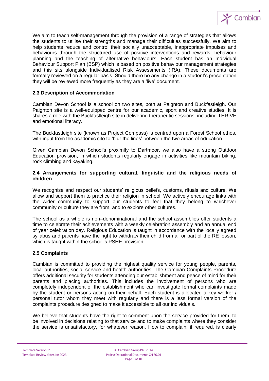

We aim to teach self-management through the provision of a range of strategies that allows the students to utilise their strengths and manage their difficulties successfully. We aim to help students reduce and control their socially unacceptable, inappropriate impulses and behaviours through the structured use of positive interventions and rewards, behaviour planning and the teaching of alternative behaviours. Each student has an Individual Behaviour Support Plan (BSP) which is based on positive behaviour management strategies and this sits alongside Individualised Risk Assessments (IRA). These documents are formally reviewed on a regular basis. Should there be any change in a student's presentation they will be reviewed more frequently as they are a 'live' document.

#### **2.3 Description of Accommodation**

Cambian Devon School is a school on two sites, both at Paignton and Buckfastleigh. Our Paignton site is a well-equipped centre for our academic, sport and creative studies. It is shares a role with the Buckfastleigh site in delivering therapeutic sessions, including THRIVE and emotional literacy.

The Buckfastleigh site (known as Project Compass) is centred upon a Forest School ethos, with input from the academic site to 'blur the lines' between the two areas of education.

Given Cambian Devon School's proximity to Dartmoor, we also have a strong Outdoor Education provision, in which students regularly engage in activities like mountain biking, rock climbing and kayaking.

#### **2.4 Arrangements for supporting cultural, linguistic and the religious needs of children**

We recognise and respect our students' religious beliefs, customs, rituals and culture. We allow and support them to practice their religion in school. We actively encourage links with the wider community to support our students to feel that they belong to whichever community or culture they are from, and to explore other cultures.

The school as a whole is non–denominational and the school assemblies offer students a time to celebrate their achievements with a weekly celebration assembly and an annual end of year celebration day. Religious Education is taught in accordance with the locally agreed syllabus and parents have the right to withdraw their child from all or part of the RE lesson, which is taught within the school's PSHE provision.

#### **2.5 Complaints**

Cambian is committed to providing the highest quality service for young people, parents, local authorities, social service and health authorities. The Cambian Complaints Procedure offers additional security for students attending our establishment and peace of mind for their parents and placing authorities. This includes the involvement of persons who are completely independent of the establishment who can investigate formal complaints made by the student or persons acting on their behalf. Each student is allocated a key worker / personal tutor whom they meet with regularly and there is a less formal version of the complaints procedure designed to make it accessible to all our individuals.

We believe that students have the right to comment upon the service provided for them, to be involved in decisions relating to that service and to make complaints where they consider the service is unsatisfactory, for whatever reason. How to complain, if required, is clearly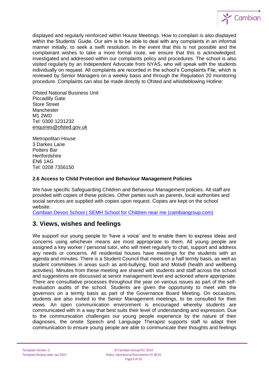

displayed and regularly reinforced within House Meetings. How to complain is also displayed within the Students' Guide. Our aim is to be able to deal with any complaints in an informal manner initially, to seek a swift resolution. In the event that this is not possible and the complainant wishes to take a more formal route, we ensure that this is acknowledged, investigated and addressed within our complaints policy and procedures. The school is also visited regularly by an Independent Advocate from NYAS, who will speak with the students individually on request. All complaints are recorded in the school's Complaints File, which is reviewed by Senior Managers on a weekly basis and through the Regulation 20 monitoring procedure. Complaints can also be made directly to Ofsted and whistleblowing Hotline:

Ofsted National Business Unit Piccadilly Gate Store Street Manchester M1 2WD Tel: 0300 1231232 [enquiries@ofsted.gov.uk](mailto:enquiries@ofsted.gov.uk)

Metropolitan House 3 Darkes Lane Potters Bar **Hertfordshire** EN6 1AG Tel: 0208 7356150

#### **2.6 Access to Child Protection and Behaviour Management Policies**

We have specific Safeguarding Children and Behaviour Management policies. All staff are provided with copies of these policies. Other parties such as parents, local authorities and social services are supplied with copies upon request. Copies are kept on the school website:

[Cambian Devon School | SEMH School for Children near me \(cambiangroup.com\)](https://www.cambiangroup.com/specialist-education/our-schools/semh-schools/cambian-devon-school/)

## **3. Views, wishes and feelings**

We support our young people to 'have a voice' and to enable them to express ideas and concerns using whichever means are most appropriate to them. All young people are assigned a key worker / personal tutor, who will meet regularly to chat, support and address any needs or concerns. All residential houses have meetings for the students with an agenda and minutes. There is a Student Council that meets on a half termly basis, as well as student committees in areas such as anti-bullying, food and Motiv8 (health and wellbeing activities). Minutes from these meeting are shared with students and staff across the school and suggestions are discussed at senior management level and actioned where appropriate. There are consultative processes throughout the year on various issues as part of the selfevaluation audits of the school. Students are given the opportunity to meet with the governors on a termly basis as part of the Governance Board Meeting. On occasions, students are also invited to the Senior Management meetings, to be consulted for their views. An open communication environment is encouraged whereby students are communicated with in a way that best suits their level of understanding and expression. Due to the communication challenges our young people experience by the nature of their diagnoses, the onsite Speech and Language Therapist supports staff to adapt their communication to ensure young people are able to communicate their thoughts and feelings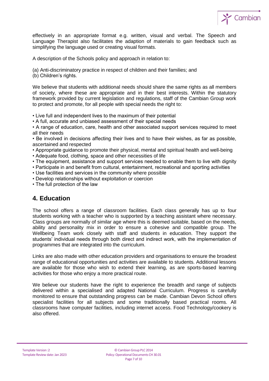

effectively in an appropriate format e.g. written, visual and verbal. The Speech and Language Therapist also facilitates the adaption of materials to gain feedback such as simplifying the language used or creating visual formats.

A description of the Schools policy and approach in relation to:

(a) Anti-discriminatory practice in respect of children and their families; and

(b) Children's rights.

We believe that students with additional needs should share the same rights as all members of society, where these are appropriate and in their best interests. Within the statutory framework provided by current legislation and regulations, staff of the Cambian Group work to protect and promote, for all people with special needs the right to:

• Live full and independent lives to the maximum of their potential

• A full, accurate and unbiased assessment of their special needs

• A range of education, care, health and other associated support services required to meet all their needs

• Be involved in decisions affecting their lives and to have their wishes, as far as possible, ascertained and respected

- Appropriate guidance to promote their physical, mental and spiritual health and well-being
- Adequate food, clothing, space and other necessities of life
- The equipment, assistance and support services needed to enable them to live with dignity
- Participate in and benefit from cultural, entertainment, recreational and sporting activities
- Use facilities and services in the community where possible
- Develop relationships without exploitation or coercion

• The full protection of the law

## **4. Education**

The school offers a range of classroom facilities. Each class generally has up to four students working with a teacher who is supported by a teaching assistant where necessary. Class groups are normally of similar age where this is deemed suitable, based on the needs, ability and personality mix in order to ensure a cohesive and compatible group. The Wellbeing Team work closely with staff and students in education. They support the students' individual needs through both direct and indirect work, with the implementation of programmes that are integrated into the curriculum.

Links are also made with other education providers and organisations to ensure the broadest range of educational opportunities and activities are available to students. Additional lessons are available for those who wish to extend their learning, as are sports-based learning activities for those who enjoy a more practical route.

We believe our students have the right to experience the breadth and range of subjects delivered within a specialised and adapted National Curriculum. Progress is carefully monitored to ensure that outstanding progress can be made. Cambian Devon School offers specialist facilities for all subjects and some traditionally based practical rooms. All classrooms have computer facilities, including internet access. Food Technology/cookery is also offered.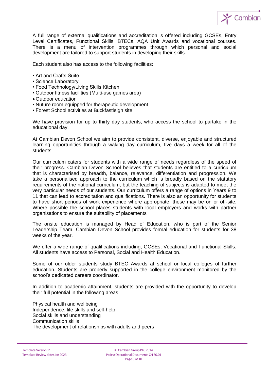

A full range of external qualifications and accreditation is offered including GCSEs, Entry Level Certificates, Functional Skills, BTECs, AQA Unit Awards and vocational courses. There is a menu of intervention programmes through which personal and social development are tailored to support students in developing their skills.

Each student also has access to the following facilities:

- Art and Crafts Suite
- Science Laboratory
- Food Technology/Living Skills Kitchen
- Outdoor fitness facilities (Multi-use games area)
- Outdoor education
- Nuture room equipped for therapeutic development
- Forest School activities at Buckfastleigh site

We have provision for up to thirty day students, who access the school to partake in the educational day.

At Cambian Devon School we aim to provide consistent, diverse, enjoyable and structured learning opportunities through a waking day curriculum, five days a week for all of the students.

Our curriculum caters for students with a wide range of needs regardless of the speed of their progress. Cambian Devon School believes that students are entitled to a curriculum that is characterised by breadth, balance, relevance, differentiation and progression. We take a personalised approach to the curriculum which is broadly based on the statutory requirements of the national curriculum, but the teaching of subjects is adapted to meet the very particular needs of our students. Our curriculum offers a range of options in Years 9 to 11 that can lead to accreditation and qualifications. There is also an opportunity for students to have short periods of work experience where appropriate; these may be on or off-site. Where possible the school places students with local employers and works with partner organisations to ensure the suitability of placements

The onsite education is managed by Head of Education, who is part of the Senior Leadership Team. Cambian Devon School provides formal education for students for 38 weeks of the year.

We offer a wide range of qualifications including, GCSEs, Vocational and Functional Skills. All students have access to Personal, Social and Health Education.

Some of our older students study BTEC Awards at school or local colleges of further education. Students are properly supported in the college environment monitored by the school's dedicated careers coordinator.

In addition to academic attainment, students are provided with the opportunity to develop their full potential in the following areas:

Physical health and wellbeing Independence, life skills and self-help Social skills and understanding Communication skills The development of relationships with adults and peers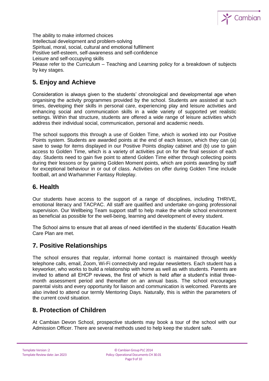

The ability to make informed choices Intellectual development and problem-solving Spiritual, moral, social, cultural and emotional fulfilment Positive self-esteem, self-awareness and self-confidence Leisure and self-occupying skills Please refer to the Curriculum – Teaching and Learning policy for a breakdown of subjects by key stages.

# **5. Enjoy and Achieve**

Consideration is always given to the students' chronological and developmental age when organising the activity programmes provided by the school. Students are assisted at such times, developing their skills in personal care, experiencing play and leisure activities and enhancing social and communication skills in a wide variety of supported yet realistic settings. Within that structure, students are offered a wide range of leisure activities which address their individual social, communication, personal and academic needs.

The school supports this through a use of Golden Time, which is worked into our Positive Points system. Students are awarded points at the end of each lesson, which they can (a) save to swap for items displayed in our Positive Points display cabinet and (b) use to gain access to Golden Time, which is a variety of activities put on for the final session of each day. Students need to gain five point to attend Golden Time either through collecting points during their lessons or by gaining Golden Moment points, which are points awarding by staff for exceptional behaviour in or out of class. Activities on offer during Golden Time include football, art and Warhammer Fantasy Roleplay.

## **6. Health**

Our students have access to the support of a range of disciplines, including THRIVE, emotional literacy and TACPAC. All staff are qualified and undertake on-going professional supervision. Our Wellbeing Team support staff to help make the whole school environment as beneficial as possible for the well-being, learning and development of every student.

The School aims to ensure that all areas of need identified in the students' Education Health Care Plan are met.

## **7. Positive Relationships**

The school ensures that regular, informal home contact is maintained through weekly telephone calls, email, Zoom, Wi-Fi connectivity and regular newsletters. Each student has a keyworker, who works to build a relationship with home as well as with students. Parents are invited to attend all EHCP reviews, the first of which is held after a student's initial threemonth assessment period and thereafter on an annual basis. The school encourages parental visits and every opportunity for liaison and communication is welcomed. Parents are also invited to attend our termly Mentoring Days. Naturally, this is within the parameters of the current covid situation.

## **8. Protection of Children**

At Cambian Devon School, prospective students may book a tour of the school with our Admission Officer. There are several methods used to help keep the student safe.